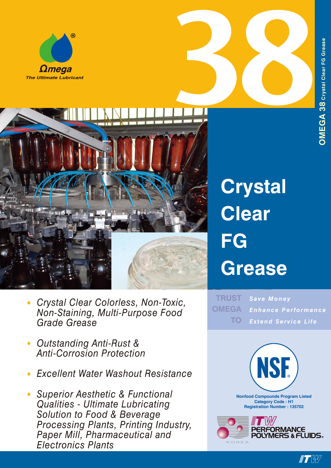





## **Crystal Clear FG Grease**

*Save Money Enhance Performance Extend Service Life* **TRUST OMEGA TO**



 $\blacksquare$ 

- *• Crystal Clear Colorless, Non-Toxic, Non-Staining, Multi-Purpose Food Grade Grease*
- *• Outstanding Anti-Rust & Anti-Corrosion Protection*
- *• Excellent Water Washout Resistance*
- *• Superior Aesthetic & Functional Qualities - Ultimate Lubricating Solution to Food & Beverage Processing Plants, Printing Industry, Paper Mill, Pharmaceutical and Electronics Plants*